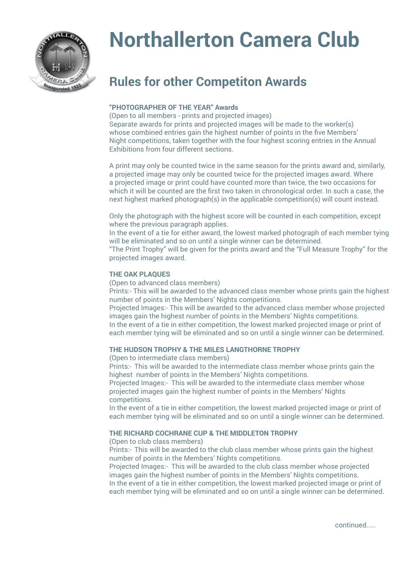

# **Northallerton Camera Club**

# **Rules for other Competiton Awards**

# **"PHOTOGRAPHER OF THE YEAR" Awards**

(Open to all members - prints and projected images) Separate awards for prints and projected images will be made to the worker(s) whose combined entries gain the highest number of points in the five Members' Night competitions, taken together with the four highest scoring entries in the Annual Exhibitions from four different sections.

A print may only be counted twice in the same season for the prints award and, similarly, a projected image may only be counted twice for the projected images award. Where a projected image or print could have counted more than twice, the two occasions for which it will be counted are the first two taken in chronological order. In such a case, the next highest marked photograph(s) in the applicable competition(s) will count instead.

Only the photograph with the highest score will be counted in each competition, except where the previous paragraph applies.

In the event of a tie for either award, the lowest marked photograph of each member tying will be eliminated and so on until a single winner can be determined.

"The Print Trophy" will be given for the prints award and the "Full Measure Trophy" for the projected images award.

## **THE OAK PLAQUES**

(Open to advanced class members)

Prints:- This will be awarded to the advanced class member whose prints gain the highest number of points in the Members' Nights competitions.

Projected Images:- This will be awarded to the advanced class member whose projected images gain the highest number of points in the Members' Nights competitions. In the event of a tie in either competition, the lowest marked projected image or print of each member tying will be eliminated and so on until a single winner can be determined.

## **THE HUDSON TROPHY & THE MILES LANGTHORNE TROPHY**

(Open to intermediate class members)

Prints:- This will be awarded to the intermediate class member whose prints gain the highest number of points in the Members' Nights competitions.

Projected Images:- This will be awarded to the intermediate class member whose projected images gain the highest number of points in the Members' Nights competitions.

In the event of a tie in either competition, the lowest marked projected image or print of each member tying will be eliminated and so on until a single winner can be determined.

## **THE RICHARD COCHRANE CUP & THE MIDDLETON TROPHY**

(Open to club class members)

Prints:- This will be awarded to the club class member whose prints gain the highest number of points in the Members' Nights competitions.

Projected Images:- This will be awarded to the club class member whose projected images gain the highest number of points in the Members' Nights competitions. In the event of a tie in either competition, the lowest marked projected image or print of each member tying will be eliminated and so on until a single winner can be determined.

continued.....